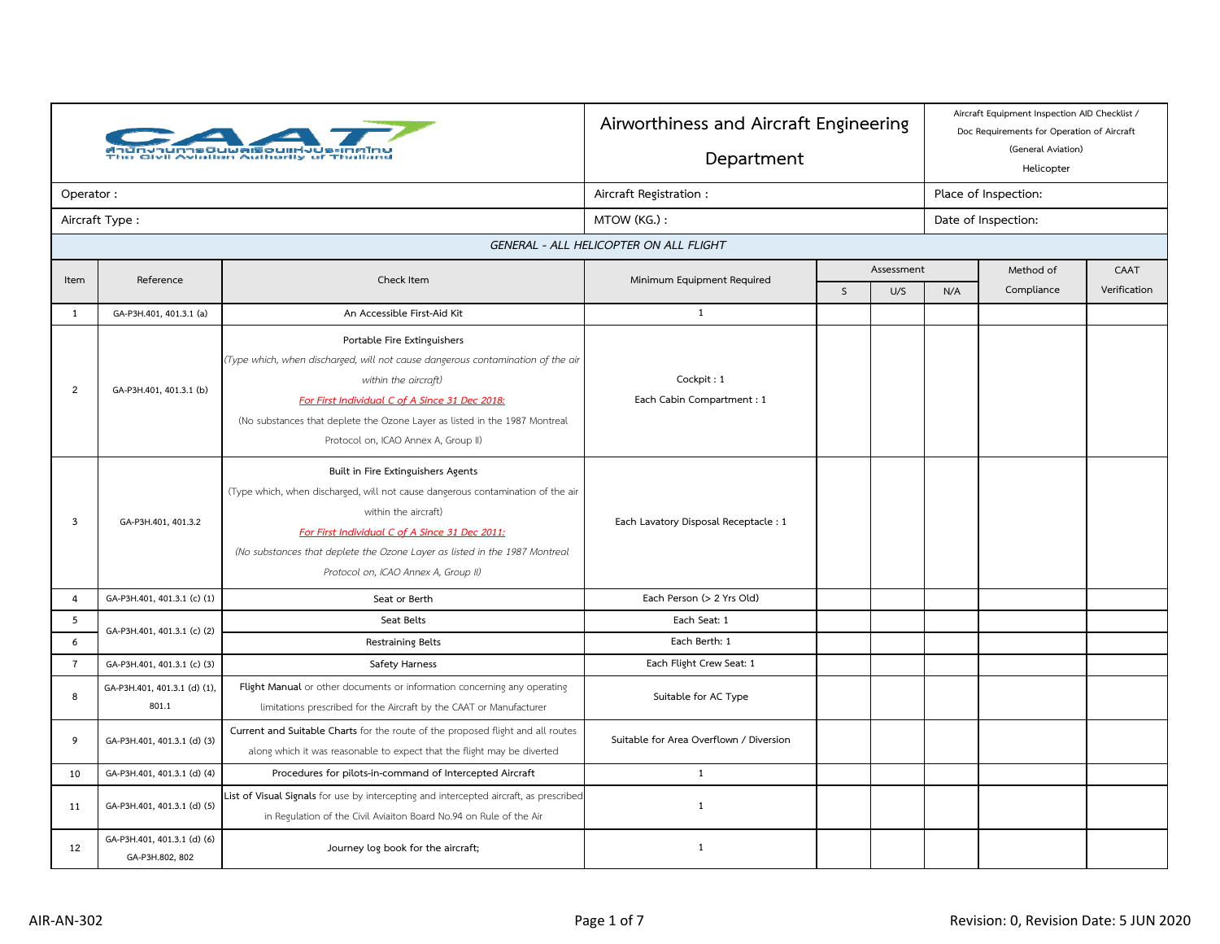|                |                                                | iun divil Aviation Authority of Thailand<br>io Givil Aviation Authority of Thailand                                                                                                                                                                                                                                   | Airworthiness and Aircraft Engineering<br>Department |                     |            |                      | Aircraft Equipment Inspection AID Checklist /<br>Doc Requirements for Operation of Aircraft<br>(General Aviation)<br>Helicopter |              |  |
|----------------|------------------------------------------------|-----------------------------------------------------------------------------------------------------------------------------------------------------------------------------------------------------------------------------------------------------------------------------------------------------------------------|------------------------------------------------------|---------------------|------------|----------------------|---------------------------------------------------------------------------------------------------------------------------------|--------------|--|
| Operator:      |                                                |                                                                                                                                                                                                                                                                                                                       | Aircraft Registration:                               |                     |            | Place of Inspection: |                                                                                                                                 |              |  |
|                | Aircraft Type:                                 |                                                                                                                                                                                                                                                                                                                       | MTOW (KG.):                                          |                     |            |                      | Date of Inspection:                                                                                                             |              |  |
|                |                                                |                                                                                                                                                                                                                                                                                                                       | GENERAL - ALL HELICOPTER ON ALL FLIGHT               |                     |            |                      |                                                                                                                                 |              |  |
| Item           | Reference                                      | Check Item                                                                                                                                                                                                                                                                                                            |                                                      |                     | Assessment |                      | CAAT                                                                                                                            |              |  |
|                |                                                |                                                                                                                                                                                                                                                                                                                       | Minimum Equipment Required                           | $\mathsf{S}$<br>U/S |            | N/A                  | Compliance                                                                                                                      | Verification |  |
| $\mathbf{1}$   | GA-P3H.401, 401.3.1 (a)                        | An Accessible First-Aid Kit                                                                                                                                                                                                                                                                                           | $\mathbf{1}$                                         |                     |            |                      |                                                                                                                                 |              |  |
| $\overline{2}$ | GA-P3H.401, 401.3.1 (b)                        | Portable Fire Extinguishers<br>(Type which, when discharged, will not cause dangerous contamination of the air<br>within the aircraft)<br>For First Individual C of A Since 31 Dec 2018:<br>(No substances that deplete the Ozone Layer as listed in the 1987 Montreal<br>Protocol on, ICAO Annex A, Group II)        | Cockpit: 1<br>Each Cabin Compartment: 1              |                     |            |                      |                                                                                                                                 |              |  |
| 3              | GA-P3H.401, 401.3.2                            | Built in Fire Extinguishers Agents<br>(Type which, when discharged, will not cause dangerous contamination of the air<br>within the aircraft)<br>For First Individual C of A Since 31 Dec 2011:<br>(No substances that deplete the Ozone Layer as listed in the 1987 Montreal<br>Protocol on, ICAO Annex A, Group II) | Each Lavatory Disposal Receptacle: 1                 |                     |            |                      |                                                                                                                                 |              |  |
| $\overline{4}$ | GA-P3H.401, 401.3.1 (c) (1)                    | Seat or Berth                                                                                                                                                                                                                                                                                                         | Each Person (> 2 Yrs Old)                            |                     |            |                      |                                                                                                                                 |              |  |
| 5              | GA-P3H.401, 401.3.1 (c) (2)                    | Seat Belts                                                                                                                                                                                                                                                                                                            | Each Seat: 1                                         |                     |            |                      |                                                                                                                                 |              |  |
| 6              |                                                | Restraining Belts                                                                                                                                                                                                                                                                                                     | Each Berth: 1                                        |                     |            |                      |                                                                                                                                 |              |  |
| $\overline{7}$ | GA-P3H.401, 401.3.1 (c) (3)                    | Safety Harness                                                                                                                                                                                                                                                                                                        | Each Flight Crew Seat: 1                             |                     |            |                      |                                                                                                                                 |              |  |
| 8              | GA-P3H.401, 401.3.1 (d) (1),<br>801.1          | Flight Manual or other documents or information concerning any operating<br>limitations prescribed for the Aircraft by the CAAT or Manufacturer                                                                                                                                                                       | Suitable for AC Type                                 |                     |            |                      |                                                                                                                                 |              |  |
| 9              | GA-P3H.401, 401.3.1 (d) (3)                    | Current and Suitable Charts for the route of the proposed flight and all routes<br>along which it was reasonable to expect that the flight may be diverted                                                                                                                                                            | Suitable for Area Overflown / Diversion              |                     |            |                      |                                                                                                                                 |              |  |
| 10             | GA-P3H.401, 401.3.1 (d) (4)                    | Procedures for pilots-in-command of Intercepted Aircraft                                                                                                                                                                                                                                                              | 1                                                    |                     |            |                      |                                                                                                                                 |              |  |
| 11             | GA-P3H.401, 401.3.1 (d) (5)                    | List of Visual Signals for use by intercepting and intercepted aircraft, as prescribed<br>in Regulation of the Civil Aviaiton Board No.94 on Rule of the Air                                                                                                                                                          | 1                                                    |                     |            |                      |                                                                                                                                 |              |  |
| 12             | GA-P3H.401, 401.3.1 (d) (6)<br>GA-P3H.802, 802 | Journey log book for the aircraft;                                                                                                                                                                                                                                                                                    | $\mathbf{1}$                                         |                     |            |                      |                                                                                                                                 |              |  |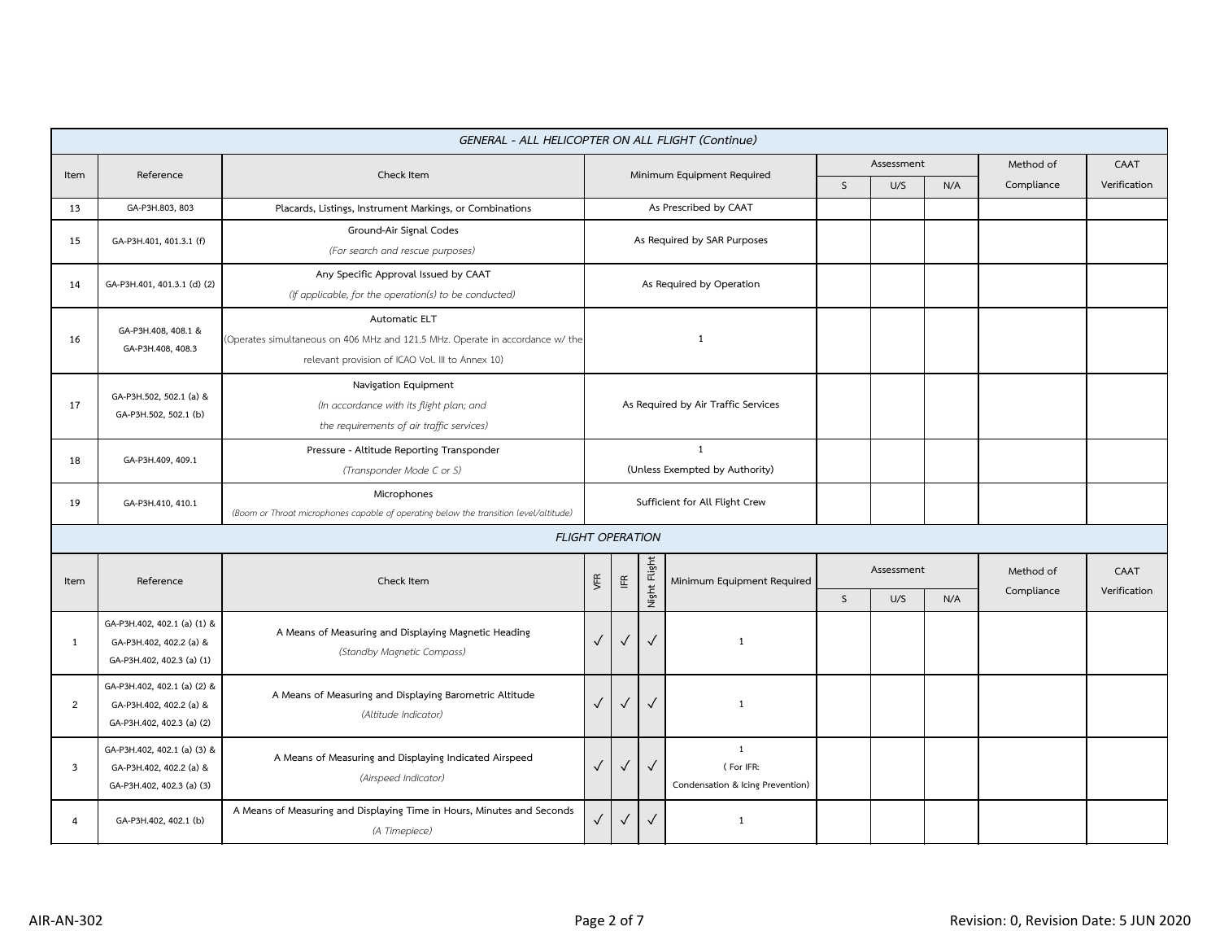|                |                                                                                     | GENERAL - ALL HELICOPTER ON ALL FLIGHT (Continue)                                                                                                  |                                                                                                               |                                           |              |                            |              |     |     |            |              |
|----------------|-------------------------------------------------------------------------------------|----------------------------------------------------------------------------------------------------------------------------------------------------|---------------------------------------------------------------------------------------------------------------|-------------------------------------------|--------------|----------------------------|--------------|-----|-----|------------|--------------|
| Item           | Reference                                                                           | Check Item                                                                                                                                         |                                                                                                               |                                           |              | Minimum Equipment Required | Assessment   |     |     | Method of  | CAAT         |
|                |                                                                                     |                                                                                                                                                    |                                                                                                               |                                           |              |                            | $\mathsf{S}$ | U/S | N/A | Compliance | Verification |
| 13             | GA-P3H.803, 803                                                                     | Placards, Listings, Instrument Markings, or Combinations                                                                                           |                                                                                                               | As Prescribed by CAAT                     |              |                            |              |     |     |            |              |
| 15             | GA-P3H.401, 401.3.1 (f)                                                             | Ground-Air Signal Codes<br>(For search and rescue purposes)                                                                                        | As Required by SAR Purposes                                                                                   |                                           |              |                            |              |     |     |            |              |
| 14             | GA-P3H.401, 401.3.1 (d) (2)                                                         | Any Specific Approval Issued by CAAT<br>(If applicable, for the operation(s) to be conducted)                                                      | As Required by Operation                                                                                      |                                           |              |                            |              |     |     |            |              |
| 16             | GA-P3H.408, 408.1 &<br>GA-P3H.408, 408.3                                            | Automatic ELT<br>(Operates simultaneous on 406 MHz and 121.5 MHz. Operate in accordance w/ the<br>relevant provision of ICAO Vol. III to Annex 10) | $\mathbf{1}$                                                                                                  |                                           |              |                            |              |     |     |            |              |
| 17             | GA-P3H.502, 502.1 (a) &<br>GA-P3H.502, 502.1 (b)                                    | Navigation Equipment<br>(In accordance with its flight plan; and<br>the requirements of air traffic services)                                      | As Required by Air Traffic Services                                                                           |                                           |              |                            |              |     |     |            |              |
| 18             | GA-P3H.409, 409.1                                                                   | Pressure - Altitude Reporting Transponder<br>(Transponder Mode C or S)                                                                             | $\mathbf{1}$<br>(Unless Exempted by Authority)                                                                |                                           |              |                            |              |     |     |            |              |
| 19             | GA-P3H.410, 410.1                                                                   | Microphones<br>(Boom or Throat microphones capable of operating below the transition level/altitude)                                               | Sufficient for All Flight Crew                                                                                |                                           |              |                            |              |     |     |            |              |
|                |                                                                                     | <b>FLIGHT OPERATION</b>                                                                                                                            |                                                                                                               |                                           |              |                            |              |     |     |            |              |
| Item           | Reference                                                                           | Check Item                                                                                                                                         | VFR                                                                                                           | $\mathrel{\mathop{\mathsf{I\mathbb{E}}}}$ | Night Flight | Minimum Equipment Required | Assessment   |     |     | Method of  | CAAT         |
|                |                                                                                     |                                                                                                                                                    |                                                                                                               |                                           |              |                            | $\mathsf{S}$ | U/S | N/A | Compliance | Verification |
| 1              | GA-P3H.402, 402.1 (a) (1) &<br>GA-P3H.402, 402.2 (a) &<br>GA-P3H.402, 402.3 (a) (1) | A Means of Measuring and Displaying Magnetic Heading<br>(Standby Magnetic Compass)                                                                 | $\checkmark$                                                                                                  | $\checkmark$                              | $\checkmark$ | $\mathbf{1}$               |              |     |     |            |              |
| $\overline{2}$ | GA-P3H.402, 402.1 (a) (2) &<br>GA-P3H.402, 402.2 (a) &<br>GA-P3H.402, 402.3 (a) (2) | A Means of Measuring and Displaying Barometric Altitude<br>(Altitude Indicator)                                                                    | $\checkmark$<br>$\checkmark$<br>$\checkmark$<br>$\mathbf{1}$                                                  |                                           |              |                            |              |     |     |            |              |
| 3              | GA-P3H.402, 402.1 (a) (3) &<br>GA-P3H.402, 402.2 (a) &<br>GA-P3H.402, 402.3 (a) (3) | A Means of Measuring and Displaying Indicated Airspeed<br>(Airspeed Indicator)                                                                     | $\mathbf{1}$<br>$\checkmark$<br>$\checkmark$<br>(For IFR:<br>$\checkmark$<br>Condensation & Icing Prevention) |                                           |              |                            |              |     |     |            |              |
| 4              | GA-P3H.402, 402.1 (b)                                                               | A Means of Measuring and Displaying Time in Hours, Minutes and Seconds<br>(A Timepiece)                                                            | $\checkmark$                                                                                                  | $\checkmark$                              | $\checkmark$ | $\mathbf{1}$               |              |     |     |            |              |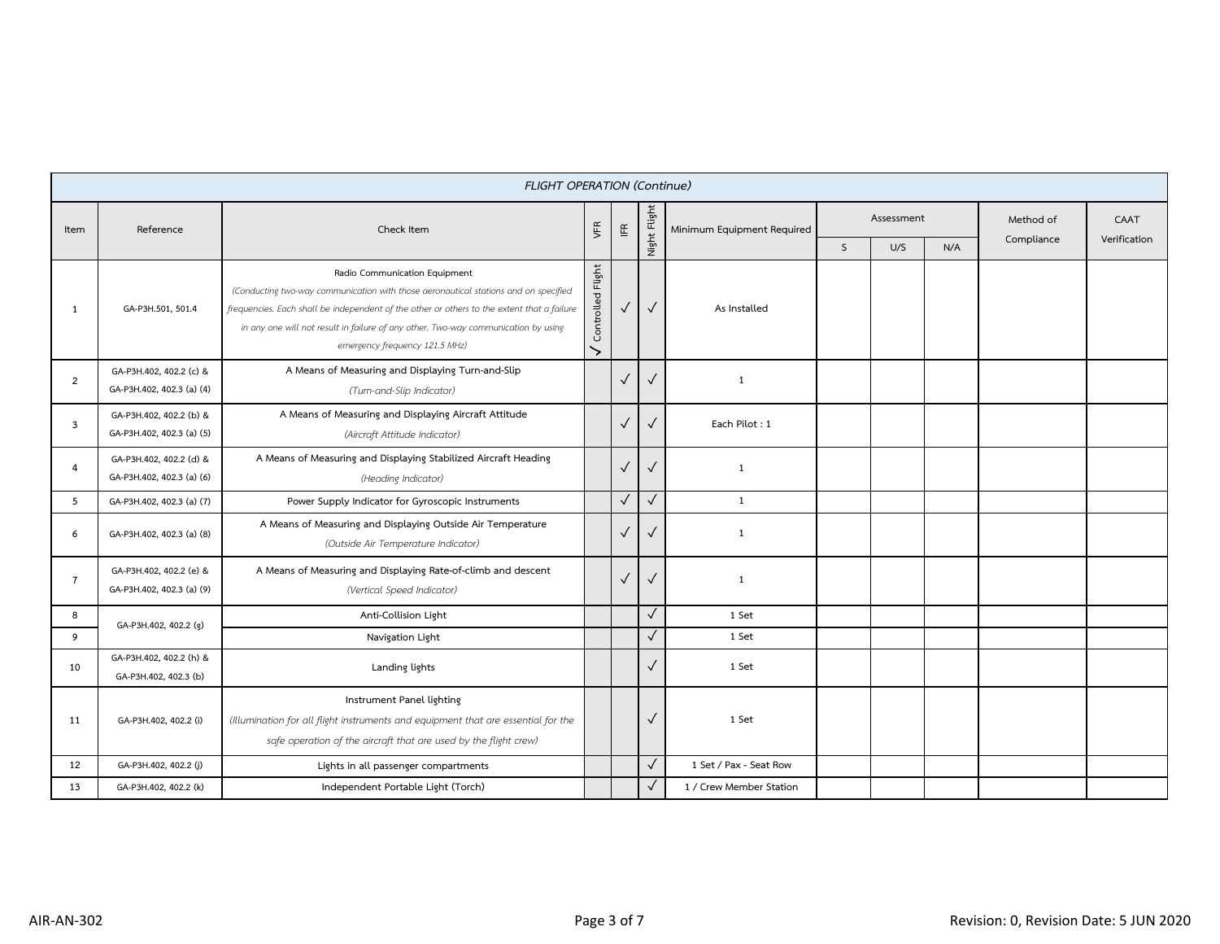|                |                                                      | <b>FLIGHT OPERATION (Continue)</b>                                                                                                                                                                                                                                                                                                         |                                    |              |                          |                            |              |            |     |            |              |
|----------------|------------------------------------------------------|--------------------------------------------------------------------------------------------------------------------------------------------------------------------------------------------------------------------------------------------------------------------------------------------------------------------------------------------|------------------------------------|--------------|--------------------------|----------------------------|--------------|------------|-----|------------|--------------|
| Item           | Reference                                            | Check Item                                                                                                                                                                                                                                                                                                                                 | VFR                                | $\mathbb{E}$ | Night Fligh <sup>-</sup> | Minimum Equipment Required |              | Assessment |     | Method of  | CAAT         |
|                |                                                      |                                                                                                                                                                                                                                                                                                                                            |                                    |              |                          |                            | $\mathsf{S}$ | U/S        | N/A | Compliance | Verification |
| $\mathbf{1}$   | GA-P3H.501, 501.4                                    | Radio Communication Equipment<br>(Conducting two-way communication with those aeronautical stations and on specified<br>frequencies. Each shall be independent of the other or others to the extent that a failure<br>in any one will not result in failure of any other. Two-way communication by using<br>emergency frequency 121.5 MHz) | Flight<br>Controlled<br>$\check{}$ | $\checkmark$ | $\checkmark$             | As Installed               |              |            |     |            |              |
| $\overline{2}$ | GA-P3H.402, 402.2 (c) &<br>GA-P3H.402, 402.3 (a) (4) | A Means of Measuring and Displaying Turn-and-Slip<br>(Turn-and-Slip Indicator)                                                                                                                                                                                                                                                             |                                    | $\checkmark$ | $\checkmark$             | $\mathbf{1}$               |              |            |     |            |              |
| 3              | GA-P3H.402, 402.2 (b) &<br>GA-P3H.402, 402.3 (a) (5) | A Means of Measuring and Displaying Aircraft Attitude<br>(Aircraft Attitude Indicator)                                                                                                                                                                                                                                                     |                                    | $\checkmark$ | $\checkmark$             | Each Pilot: 1              |              |            |     |            |              |
| $\overline{4}$ | GA-P3H.402, 402.2 (d) &<br>GA-P3H.402, 402.3 (a) (6) | A Means of Measuring and Displaying Stabilized Aircraft Heading<br>(Heading Indicator)                                                                                                                                                                                                                                                     |                                    | $\checkmark$ | $\checkmark$             | $\mathbf{1}$               |              |            |     |            |              |
| 5              | GA-P3H.402, 402.3 (a) (7)                            | Power Supply Indicator for Gyroscopic Instruments                                                                                                                                                                                                                                                                                          |                                    | $\checkmark$ | $\checkmark$             | $\mathbf{1}$               |              |            |     |            |              |
| 6              | GA-P3H.402, 402.3 (a) (8)                            | A Means of Measuring and Displaying Outside Air Temperature<br>(Outside Air Temperature Indicator)                                                                                                                                                                                                                                         |                                    | $\checkmark$ | $\checkmark$             | $\mathbf{1}$               |              |            |     |            |              |
| $\overline{7}$ | GA-P3H.402, 402.2 (e) &<br>GA-P3H.402, 402.3 (a) (9) | A Means of Measuring and Displaying Rate-of-climb and descent<br>(Vertical Speed Indicator)                                                                                                                                                                                                                                                |                                    | $\checkmark$ | $\sqrt{2}$               | 1                          |              |            |     |            |              |
| 8              | GA-P3H.402, 402.2 (g)                                | Anti-Collision Light                                                                                                                                                                                                                                                                                                                       |                                    |              | $\checkmark$             | 1 Set                      |              |            |     |            |              |
| 9              |                                                      | Navigation Light                                                                                                                                                                                                                                                                                                                           |                                    |              | $\checkmark$             | 1 Set                      |              |            |     |            |              |
| 10             | GA-P3H.402, 402.2 (h) &<br>GA-P3H.402, 402.3 (b)     | Landing lights                                                                                                                                                                                                                                                                                                                             |                                    |              | $\checkmark$             | 1 Set                      |              |            |     |            |              |
| 11             | GA-P3H.402, 402.2 (i)                                | Instrument Panel lighting<br>(Illumination for all flight instruments and equipment that are essential for the<br>safe operation of the aircraft that are used by the flight crew)                                                                                                                                                         |                                    |              | $\checkmark$             | 1 Set                      |              |            |     |            |              |
| 12             | GA-P3H.402, 402.2 (j)                                | Lights in all passenger compartments                                                                                                                                                                                                                                                                                                       |                                    |              | $\sqrt{}$                | 1 Set / Pax - Seat Row     |              |            |     |            |              |
| 13             | GA-P3H.402, 402.2 (k)                                | Independent Portable Light (Torch)                                                                                                                                                                                                                                                                                                         |                                    |              | $\checkmark$             | 1 / Crew Member Station    |              |            |     |            |              |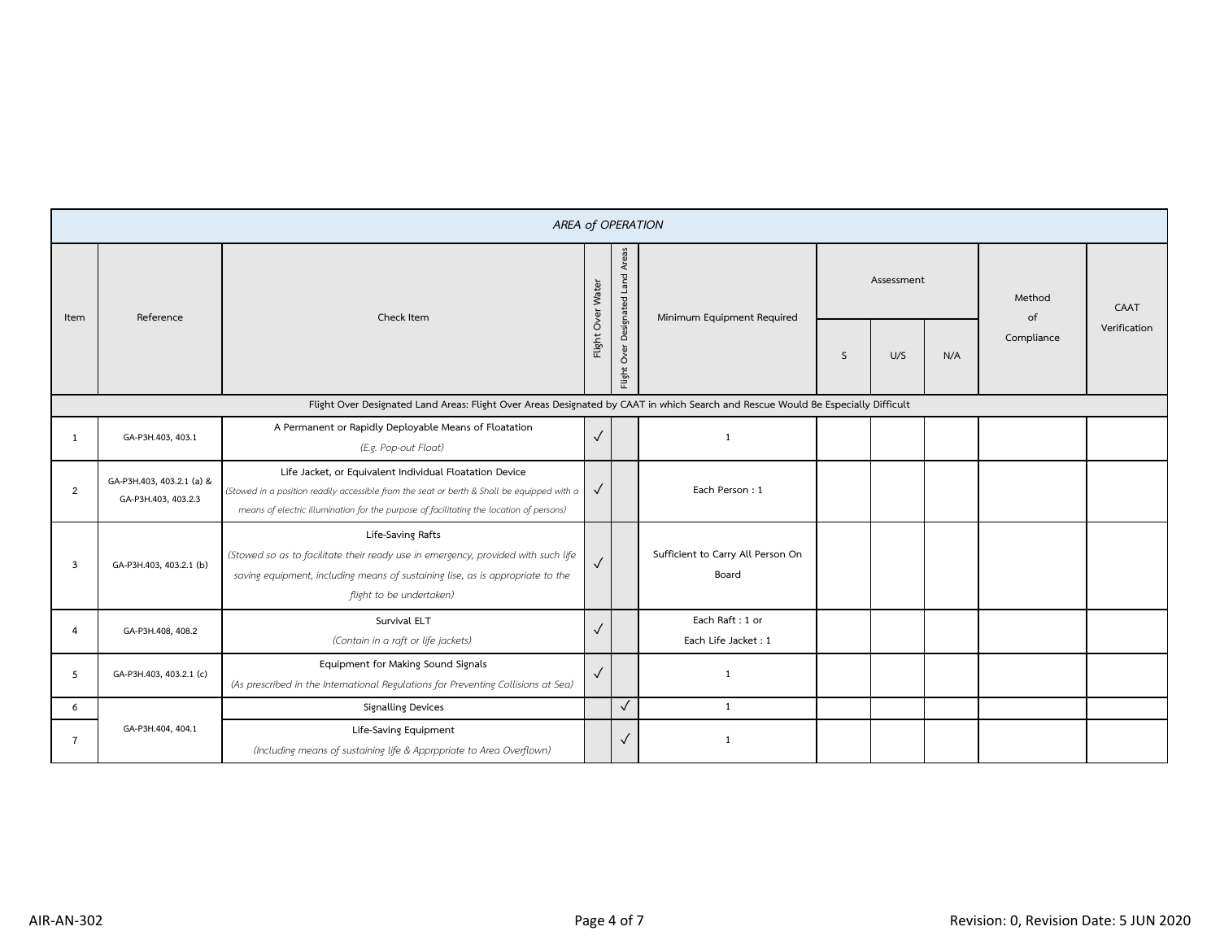|                |                                                  | <b>AREA of OPERATION</b>                                                                                                                                                                                                                         |                   |                                   |                                            |              |            |     |              |              |
|----------------|--------------------------------------------------|--------------------------------------------------------------------------------------------------------------------------------------------------------------------------------------------------------------------------------------------------|-------------------|-----------------------------------|--------------------------------------------|--------------|------------|-----|--------------|--------------|
| Item           | Reference                                        | Check Item                                                                                                                                                                                                                                       | Flight Over Water | Flight Over Designated Land Areas | Minimum Equipment Required                 |              | Assessment |     | Method<br>of | CAAT         |
|                |                                                  |                                                                                                                                                                                                                                                  |                   |                                   |                                            | <sub>S</sub> | U/S        | N/A | Compliance   | Verification |
|                |                                                  | Flight Over Designated Land Areas: Flight Over Areas Designated by CAAT in which Search and Rescue Would Be Especially Difficult                                                                                                                 |                   |                                   |                                            |              |            |     |              |              |
| $\mathbf{1}$   | GA-P3H.403, 403.1                                | A Permanent or Rapidly Deployable Means of Floatation<br>(E.g. Pop-out Float)                                                                                                                                                                    | $\checkmark$      |                                   | 1                                          |              |            |     |              |              |
| $\overline{2}$ | GA-P3H.403, 403.2.1 (a) &<br>GA-P3H.403, 403.2.3 | Life Jacket, or Equivalent Individual Floatation Device<br>(Stowed in a position readily accessible from the seat or berth & Shall be equipped with a<br>means of electric illumination for the purpose of facilitating the location of persons) | $\checkmark$      |                                   | Each Person: 1                             |              |            |     |              |              |
| $\overline{3}$ | GA-P3H.403, 403.2.1 (b)                          | Life-Saving Rafts<br>(Stowed so as to facilitate their ready use in emergency, provided with such life<br>saving equipment, including means of sustaining lise, as is appropriate to the<br>flight to be undertaken)                             |                   |                                   | Sufficient to Carry All Person On<br>Board |              |            |     |              |              |
| 4              | GA-P3H.408, 408.2                                | Survival ELT<br>(Contain in a raft or life jackets)                                                                                                                                                                                              | $\checkmark$      |                                   | Each Raft: 1 or<br>Each Life Jacket: 1     |              |            |     |              |              |
| 5              | GA-P3H.403, 403.2.1 (c)                          | Equipment for Making Sound Signals<br>(As prescribed in the International Regulations for Preventing Collisions at Sea)                                                                                                                          |                   |                                   | $\mathbf{1}$                               |              |            |     |              |              |
| 6              |                                                  | Signalling Devices                                                                                                                                                                                                                               |                   | $\checkmark$                      | 1                                          |              |            |     |              |              |
| $\overline{7}$ | GA-P3H.404, 404.1                                | Life-Saving Equipment<br>(Including means of sustaining life & Apprppriate to Area Overflown)                                                                                                                                                    |                   | $\checkmark$                      | 1                                          |              |            |     |              |              |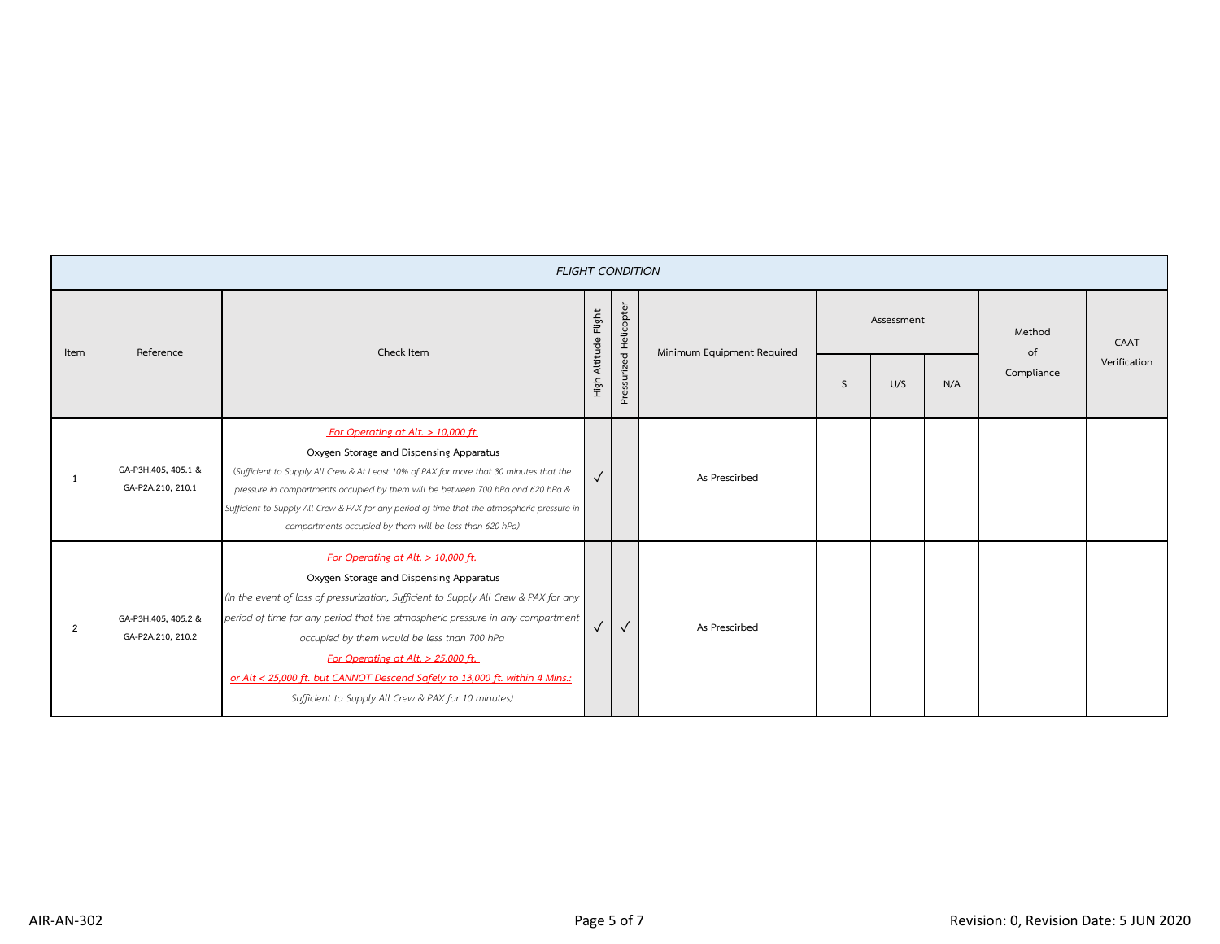|                | <b>FLIGHT CONDITION</b>                  |                                                                                                                                                                                                                                                                                                                                                                                                                                                                                      |                      |                        |                            |              |     |     |              |              |
|----------------|------------------------------------------|--------------------------------------------------------------------------------------------------------------------------------------------------------------------------------------------------------------------------------------------------------------------------------------------------------------------------------------------------------------------------------------------------------------------------------------------------------------------------------------|----------------------|------------------------|----------------------------|--------------|-----|-----|--------------|--------------|
| Item           | Reference<br>Check Item                  |                                                                                                                                                                                                                                                                                                                                                                                                                                                                                      | High Altitude Flight | Pressurized Helicopter | Minimum Equipment Required | Assessment   |     |     | Method<br>of | CAAT         |
|                |                                          |                                                                                                                                                                                                                                                                                                                                                                                                                                                                                      |                      |                        |                            | <sub>S</sub> | U/S | N/A | Compliance   | Verification |
| -1             | GA-P3H.405, 405.1 &<br>GA-P2A,210, 210.1 | For Operating at Alt. > 10,000 ft.<br>Oxygen Storage and Dispensing Apparatus<br>(Sufficient to Supply All Crew & At Least 10% of PAX for more that 30 minutes that the<br>pressure in compartments occupied by them will be between 700 hPa and 620 hPa &<br>Sufficient to Supply All Crew & PAX for any period of time that the atmospheric pressure in<br>compartments occupied by them will be less than 620 hPa)                                                                | $\checkmark$         |                        | As Prescirbed              |              |     |     |              |              |
| $\overline{2}$ | GA-P3H.405, 405.2 &<br>GA-P2A.210, 210.2 | For Operating at Alt. $> 10,000$ ft.<br>Oxygen Storage and Dispensing Apparatus<br>(In the event of loss of pressurization, Sufficient to Supply All Crew & PAX for any<br>period of time for any period that the atmospheric pressure in any compartment<br>occupied by them would be less than 700 hPa<br>For Operating at Alt. > 25,000 ft.<br>or Alt < 25,000 ft. but CANNOT Descend Safely to 13,000 ft. within 4 Mins.:<br>Sufficient to Supply All Crew & PAX for 10 minutes) | $\sqrt{}$            | $\checkmark$           | As Prescirbed              |              |     |     |              |              |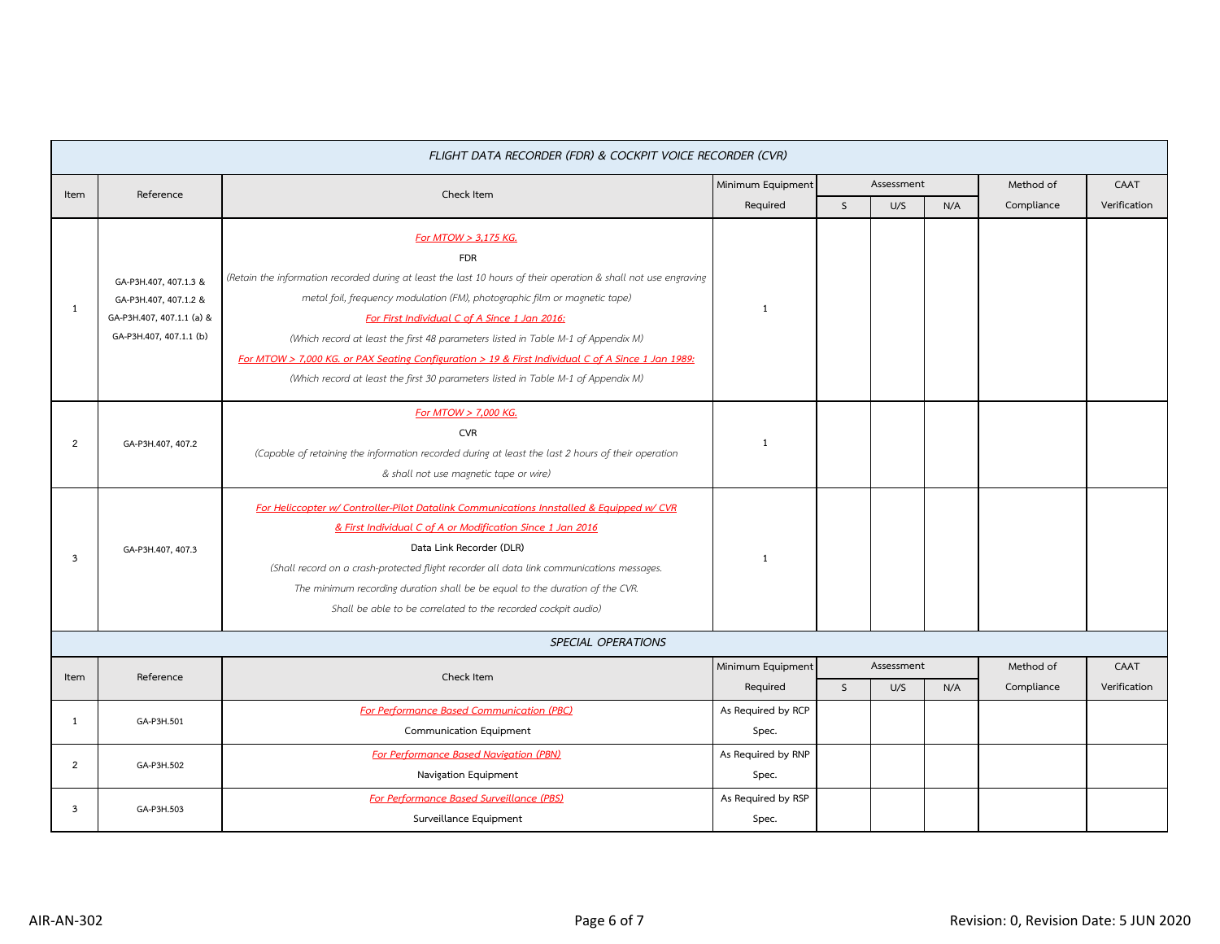|                |                                                                                                        | FLIGHT DATA RECORDER (FDR) & COCKPIT VOICE RECORDER (CVR)                                                                                                                                                                                                                                                                                                                                                                                                                                                                                                            |                             |              |            |     |            |              |
|----------------|--------------------------------------------------------------------------------------------------------|----------------------------------------------------------------------------------------------------------------------------------------------------------------------------------------------------------------------------------------------------------------------------------------------------------------------------------------------------------------------------------------------------------------------------------------------------------------------------------------------------------------------------------------------------------------------|-----------------------------|--------------|------------|-----|------------|--------------|
| Item           | Reference                                                                                              | Check Item                                                                                                                                                                                                                                                                                                                                                                                                                                                                                                                                                           | Minimum Equipment           | Assessment   |            |     | Method of  | CAAT         |
|                |                                                                                                        |                                                                                                                                                                                                                                                                                                                                                                                                                                                                                                                                                                      | Required                    | $\mathsf{S}$ | U/S        | N/A | Compliance | Verification |
| 1              | GA-P3H.407, 407.1.3 &<br>GA-P3H.407, 407.1.2 &<br>GA-P3H.407, 407.1.1 (a) &<br>GA-P3H.407, 407.1.1 (b) | For MTOW > 3,175 KG.<br><b>FDR</b><br>(Retain the information recorded during at least the last 10 hours of their operation & shall not use engraving<br>metal foil, frequency modulation (FM), photographic film or magnetic tape)<br>For First Individual C of A Since 1 Jan 2016:<br>(Which record at least the first 48 parameters listed in Table M-1 of Appendix M)<br>For MTOW > 7,000 KG. or PAX Seating Configuration > 19 & First Individual C of A Since 1 Jan 1989:<br>(Which record at least the first 30 parameters listed in Table M-1 of Appendix M) | 1                           |              |            |     |            |              |
| $\overline{2}$ | GA-P3H.407, 407.2                                                                                      | For MTOW > 7,000 KG.<br><b>CVR</b><br>(Capable of retaining the information recorded during at least the last 2 hours of their operation<br>& shall not use magnetic tape or wire)                                                                                                                                                                                                                                                                                                                                                                                   | 1                           |              |            |     |            |              |
| 3              | GA-P3H.407, 407.3                                                                                      | For Heliccopter w/ Controller-Pilot Datalink Communications Innstalled & Equipped w/ CVR<br>& First Individual C of A or Modification Since 1 Jan 2016<br>Data Link Recorder (DLR)<br>(Shall record on a crash-protected flight recorder all data link communications messages.<br>The minimum recording duration shall be be equal to the duration of the CVR.<br>Shall be able to be correlated to the recorded cockpit audio)                                                                                                                                     | 1                           |              |            |     |            |              |
|                |                                                                                                        | <b>SPECIAL OPERATIONS</b>                                                                                                                                                                                                                                                                                                                                                                                                                                                                                                                                            |                             |              |            |     |            |              |
|                |                                                                                                        |                                                                                                                                                                                                                                                                                                                                                                                                                                                                                                                                                                      | Minimum Equipment           |              | Assessment |     | Method of  | CAAT         |
| Item           | Reference                                                                                              | Check Item                                                                                                                                                                                                                                                                                                                                                                                                                                                                                                                                                           | Required                    | $\mathsf{S}$ | U/S        | N/A | Compliance | Verification |
| 1              | GA-P3H.501                                                                                             | For Performance Based Communication (PBC)<br>Communication Equipment                                                                                                                                                                                                                                                                                                                                                                                                                                                                                                 | As Required by RCP<br>Spec. |              |            |     |            |              |
| $\overline{2}$ | GA-P3H.502                                                                                             | For Performance Based Navigation (PBN)<br>Navigation Equipment                                                                                                                                                                                                                                                                                                                                                                                                                                                                                                       | As Required by RNP<br>Spec. |              |            |     |            |              |
| 3              | GA-P3H.503                                                                                             | For Performance Based Surveillance (PBS)<br>Surveillance Equipment                                                                                                                                                                                                                                                                                                                                                                                                                                                                                                   | As Required by RSP<br>Spec. |              |            |     |            |              |